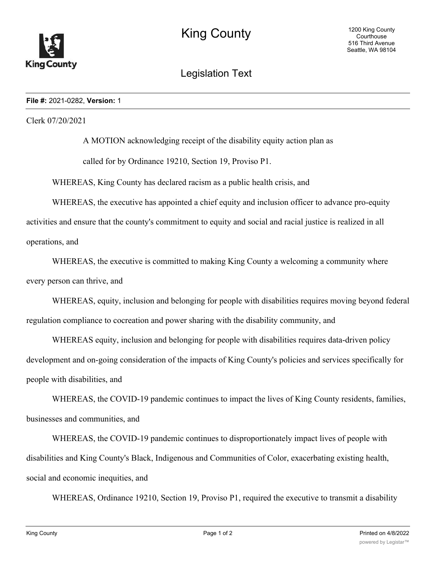

## Legislation Text

## **File #:** 2021-0282, **Version:** 1

Clerk 07/20/2021

A MOTION acknowledging receipt of the disability equity action plan as called for by Ordinance 19210, Section 19, Proviso P1.

WHEREAS, King County has declared racism as a public health crisis, and

WHEREAS, the executive has appointed a chief equity and inclusion officer to advance pro-equity

activities and ensure that the county's commitment to equity and social and racial justice is realized in all operations, and

WHEREAS, the executive is committed to making King County a welcoming a community where every person can thrive, and

WHEREAS, equity, inclusion and belonging for people with disabilities requires moving beyond federal regulation compliance to cocreation and power sharing with the disability community, and

WHEREAS equity, inclusion and belonging for people with disabilities requires data-driven policy development and on-going consideration of the impacts of King County's policies and services specifically for people with disabilities, and

WHEREAS, the COVID-19 pandemic continues to impact the lives of King County residents, families, businesses and communities, and

WHEREAS, the COVID-19 pandemic continues to disproportionately impact lives of people with disabilities and King County's Black, Indigenous and Communities of Color, exacerbating existing health, social and economic inequities, and

WHEREAS, Ordinance 19210, Section 19, Proviso P1, required the executive to transmit a disability